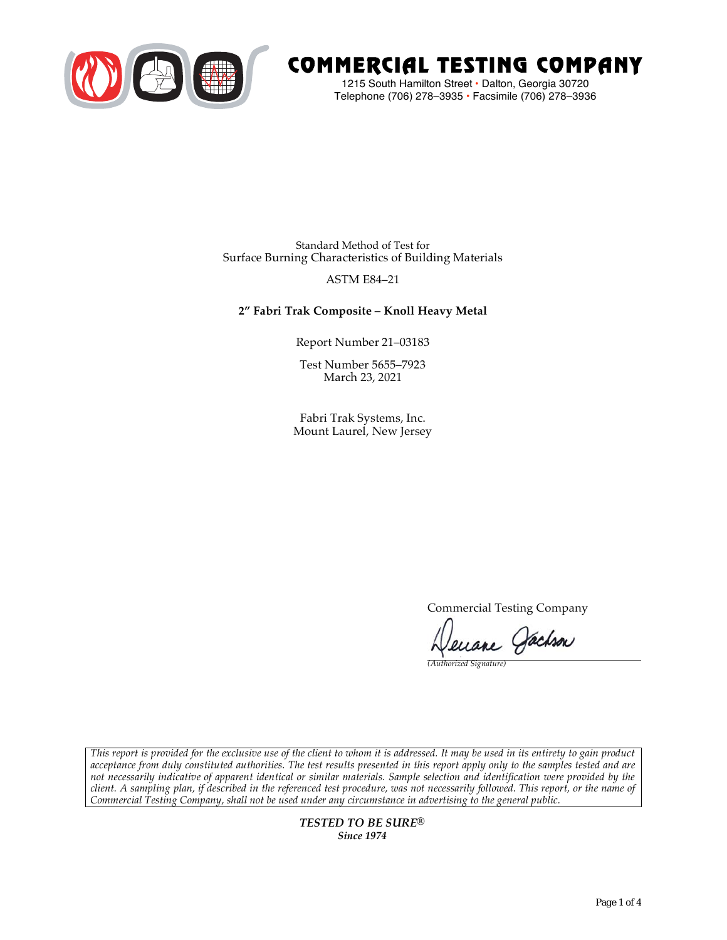

# COMMERCIAL TESTING COMPANY

1215 South Hamilton Street • Dalton, Georgia 30720 Telephone (706) 278–3935 **•** Facsimile (706) 278–3936

Standard Method of Test for Surface Burning Characteristics of Building Materials

## ASTM E84–21

## **2" Fabri Trak Composite – Knoll Heavy Metal**

Report Number 21–03183

Test Number 5655–7923 March 23, 2021

Fabri Trak Systems, Inc. Mount Laurel, New Jersey

Commercial Testing Company

enane Jachson

*(Authorized Signature)* 

*This report is provided for the exclusive use of the client to whom it is addressed. It may be used in its entirety to gain product acceptance from duly constituted authorities. The test results presented in this report apply only to the samples tested and are not necessarily indicative of apparent identical or similar materials. Sample selection and identification were provided by the client. A sampling plan, if described in the referenced test procedure, was not necessarily followed. This report, or the name of Commercial Testing Company, shall not be used under any circumstance in advertising to the general public.* 

> *TESTED TO BE SURE® Since 1974*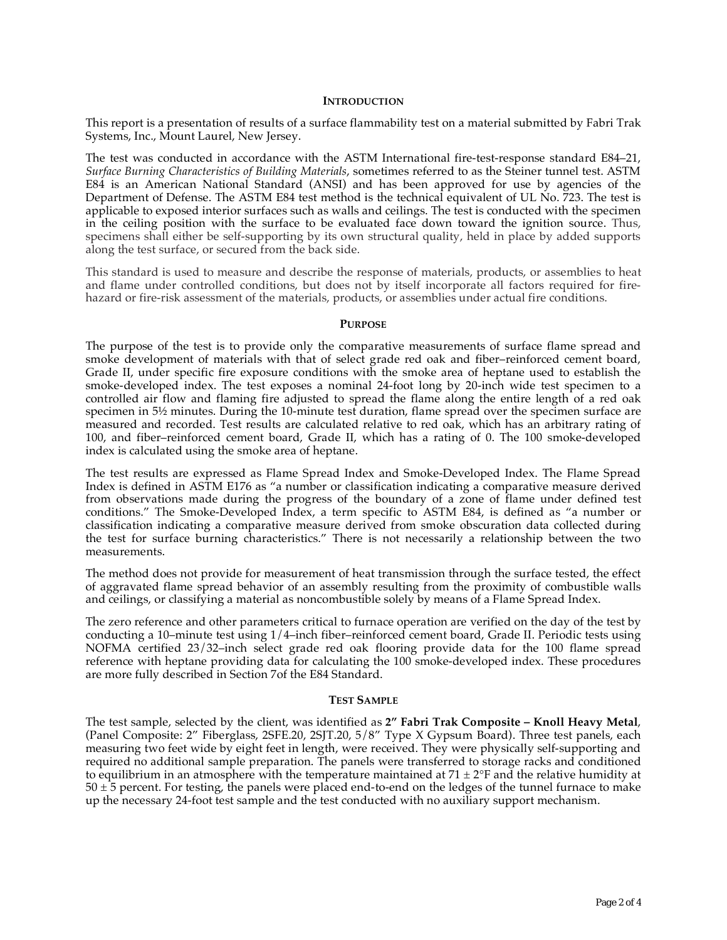### **INTRODUCTION**

This report is a presentation of results of a surface flammability test on a material submitted by Fabri Trak Systems, Inc., Mount Laurel, New Jersey.

The test was conducted in accordance with the ASTM International fire-test-response standard E84–21, *Surface Burning Characteristics of Building Materials*, sometimes referred to as the Steiner tunnel test. ASTM E84 is an American National Standard (ANSI) and has been approved for use by agencies of the Department of Defense. The ASTM E84 test method is the technical equivalent of UL No. 723. The test is applicable to exposed interior surfaces such as walls and ceilings. The test is conducted with the specimen in the ceiling position with the surface to be evaluated face down toward the ignition source. Thus, specimens shall either be self-supporting by its own structural quality, held in place by added supports along the test surface, or secured from the back side.

This standard is used to measure and describe the response of materials, products, or assemblies to heat and flame under controlled conditions, but does not by itself incorporate all factors required for firehazard or fire-risk assessment of the materials, products, or assemblies under actual fire conditions.

#### **PURPOSE**

The purpose of the test is to provide only the comparative measurements of surface flame spread and smoke development of materials with that of select grade red oak and fiber–reinforced cement board, Grade II, under specific fire exposure conditions with the smoke area of heptane used to establish the smoke-developed index. The test exposes a nominal 24-foot long by 20-inch wide test specimen to a controlled air flow and flaming fire adjusted to spread the flame along the entire length of a red oak specimen in  $5\frac{1}{2}$  minutes. During the 10-minute test duration, flame spread over the specimen surface are measured and recorded. Test results are calculated relative to red oak, which has an arbitrary rating of 100, and fiber–reinforced cement board, Grade II, which has a rating of 0. The 100 smoke-developed index is calculated using the smoke area of heptane.

The test results are expressed as Flame Spread Index and Smoke-Developed Index. The Flame Spread Index is defined in ASTM E176 as "a number or classification indicating a comparative measure derived from observations made during the progress of the boundary of a zone of flame under defined test conditions." The Smoke-Developed Index, a term specific to ASTM E84, is defined as "a number or classification indicating a comparative measure derived from smoke obscuration data collected during the test for surface burning characteristics." There is not necessarily a relationship between the two measurements.

The method does not provide for measurement of heat transmission through the surface tested, the effect of aggravated flame spread behavior of an assembly resulting from the proximity of combustible walls and ceilings, or classifying a material as noncombustible solely by means of a Flame Spread Index.

The zero reference and other parameters critical to furnace operation are verified on the day of the test by conducting a 10–minute test using 1/4–inch fiber–reinforced cement board, Grade II. Periodic tests using NOFMA certified 23/32–inch select grade red oak flooring provide data for the 100 flame spread reference with heptane providing data for calculating the 100 smoke-developed index. These procedures are more fully described in Section 7of the E84 Standard.

#### **TEST SAMPLE**

The test sample, selected by the client, was identified as **2" Fabri Trak Composite – Knoll Heavy Metal**, (Panel Composite: 2" Fiberglass, 2SFE.20, 2SJT.20, 5/8" Type X Gypsum Board). Three test panels, each measuring two feet wide by eight feet in length, were received. They were physically self-supporting and required no additional sample preparation. The panels were transferred to storage racks and conditioned to equilibrium in an atmosphere with the temperature maintained at  $71 \pm 2$ °F and the relative humidity at  $50 \pm 5$  percent. For testing, the panels were placed end-to-end on the ledges of the tunnel furnace to make up the necessary 24-foot test sample and the test conducted with no auxiliary support mechanism.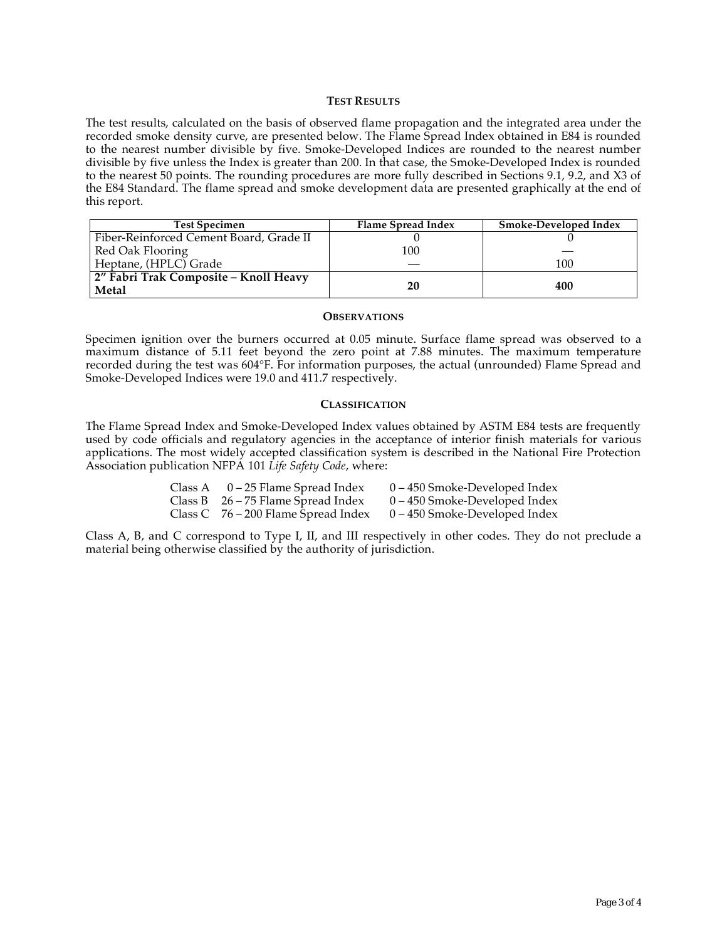### **TEST RESULTS**

The test results, calculated on the basis of observed flame propagation and the integrated area under the recorded smoke density curve, are presented below. The Flame Spread Index obtained in E84 is rounded to the nearest number divisible by five. Smoke-Developed Indices are rounded to the nearest number divisible by five unless the Index is greater than 200. In that case, the Smoke-Developed Index is rounded to the nearest 50 points. The rounding procedures are more fully described in Sections 9.1, 9.2, and X3 of the E84 Standard. The flame spread and smoke development data are presented graphically at the end of this report.

| <b>Test Specimen</b>                           | Flame Spread Index | Smoke-Developed Index |
|------------------------------------------------|--------------------|-----------------------|
| Fiber-Reinforced Cement Board, Grade II        |                    |                       |
| Red Oak Flooring                               | 100                |                       |
| Heptane, (HPLC) Grade                          |                    | 100                   |
| 2" Fabri Trak Composite - Knoll Heavy<br>Metal | 20                 | 400                   |

#### **OBSERVATIONS**

Specimen ignition over the burners occurred at 0.05 minute. Surface flame spread was observed to a maximum distance of 5.11 feet beyond the zero point at 7.88 minutes. The maximum temperature recorded during the test was 604°F. For information purposes, the actual (unrounded) Flame Spread and Smoke-Developed Indices were 19.0 and 411.7 respectively.

#### **CLASSIFICATION**

The Flame Spread Index and Smoke-Developed Index values obtained by ASTM E84 tests are frequently used by code officials and regulatory agencies in the acceptance of interior finish materials for various applications. The most widely accepted classification system is described in the National Fire Protection Association publication NFPA 101 *Life Safety Code*, where:

| Class A | 0 – 25 Flame Spread Index             | 0 – 450 Smoke-Developed Index   |
|---------|---------------------------------------|---------------------------------|
|         | Class B $26 - 75$ Flame Spread Index  | $0 - 450$ Smoke-Developed Index |
|         | Class C $76 - 200$ Flame Spread Index | 0 – 450 Smoke-Developed Index   |

Class A, B, and C correspond to Type I, II, and III respectively in other codes. They do not preclude a material being otherwise classified by the authority of jurisdiction.